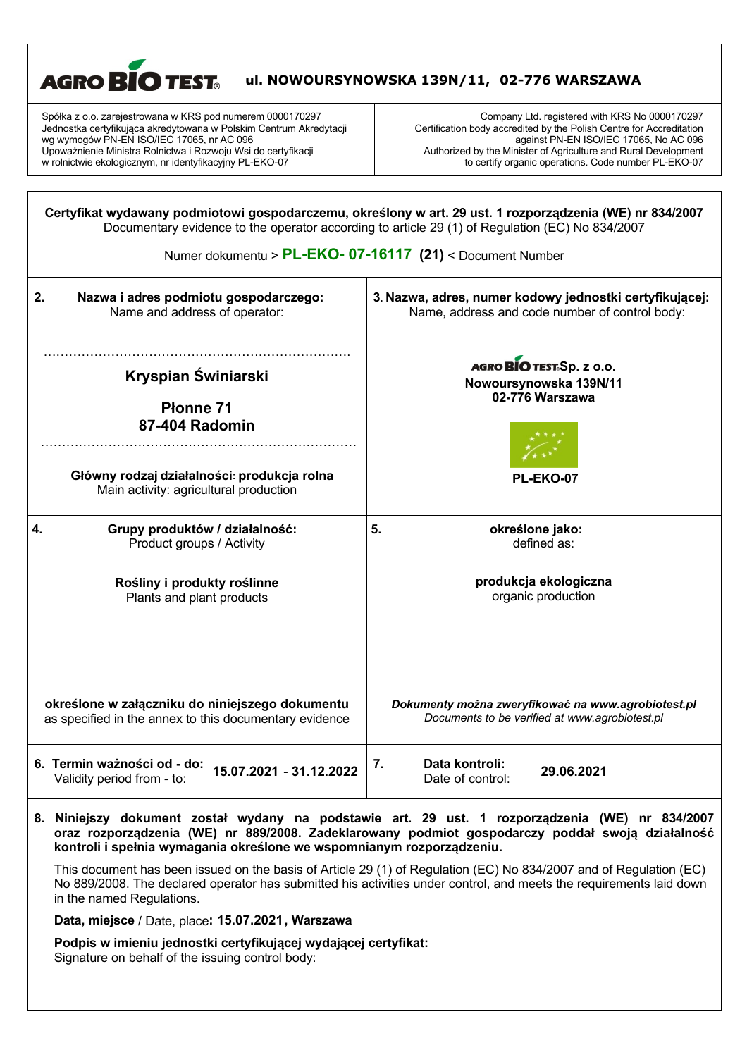

| 2.<br>Nazwa i adres podmiotu gospodarczego:<br>Name and address of operator:          | 3. Nazwa, adres, numer kodowy jednostki certyfikującej:<br>Name, address and code number of control body: |  |
|---------------------------------------------------------------------------------------|-----------------------------------------------------------------------------------------------------------|--|
| Kryspian Świniarski                                                                   | AGRO BIO TEST. Sp. z o.o.                                                                                 |  |
| <b>Płonne 71</b>                                                                      | Nowoursynowska 139N/11                                                                                    |  |
| 87-404 Radomin                                                                        | 02-776 Warszawa                                                                                           |  |
| Główny rodzaj działalności: produkcja rolna<br>Main activity: agricultural production | PL-EKO-07                                                                                                 |  |
| 4.                                                                                    | 5.                                                                                                        |  |
| Grupy produktów / działalność:                                                        | określone jako:                                                                                           |  |
| Product groups / Activity                                                             | defined as:                                                                                               |  |
| Rośliny i produkty roślinne                                                           | produkcja ekologiczna                                                                                     |  |
| Plants and plant products                                                             | organic production                                                                                        |  |
| określone w załączniku do niniejszego dokumentu                                       | Dokumenty można zweryfikować na www.agrobiotest.pl                                                        |  |
| as specified in the annex to this documentary evidence                                | Documents to be verified at www.agrobiotest.pl                                                            |  |
| 6. Termin ważności od - do:<br>15.07.2021 - 31.12.2022<br>Validity period from - to:  | Data kontroli:<br>7.<br>29.06.2021<br>Date of control:                                                    |  |

## **8. Niniejszy dokument został wydany na podstawie art. 29 ust. 1 rozporządzenia (WE) nr 834/2007 oraz rozporządzenia (WE) nr 889/2008. Zadeklarowany podmiot gospodarczy poddał swoją działalność kontroli i spełnia wymagania określone we wspomnianym rozporządzeniu.**

This document has been issued on the basis of Article 29 (1) of Regulation (EC) No 834/2007 and of Regulation (EC) No 889/2008. The declared operator has submitted his activities under control, and meets the requirements laid down in the named Regulations.

**Data, miejsce** / Date, place**: 15.07.2021, Warszawa**

**Podpis w imieniu jednostki certyfikującej wydającej certyfikat:** Signature on behalf of the issuing control body: